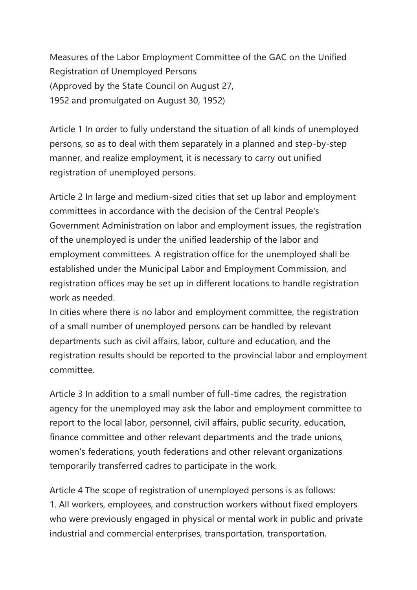Measures of the Labor Employment Committee of the GAC on the Unified Registration of Unemployed Persons (Approved by the State Council on August 27, 1952 and promulgated on August 30, 1952)

Article 1 In order to fully understand the situation of all kinds of unemployed persons, so as to deal with them separately in a planned and step-by-step manner, and realize employment, it is necessary to carry out unified registration of unemployed persons.

Article 2 In large and medium-sized cities that set up labor and employment committees in accordance with the decision of the Central People's Government Administration on labor and employment issues, the registration of the unemployed is under the unified leadership of the labor and employment committees. A registration office for the unemployed shall be established under the Municipal Labor and Employment Commission, and registration offices may be set up in different locations to handle registration work as needed.

In cities where there is no labor and employment committee, the registration of a small number of unemployed persons can be handled by relevant departments such as civil affairs, labor, culture and education, and the registration results should be reported to the provincial labor and employment committee.

Article 3 In addition to a small number of full-time cadres, the registration agency for the unemployed may ask the labor and employment committee to report to the local labor, personnel, civil affairs, public security, education, finance committee and other relevant departments and the trade unions, women's federations, youth federations and other relevant organizations temporarily transferred cadres to participate in the work.

Article 4 The scope of registration of unemployed persons is as follows: 1. All workers, employees, and construction workers without fixed employers who were previously engaged in physical or mental work in public and private industrial and commercial enterprises, transportation, transportation,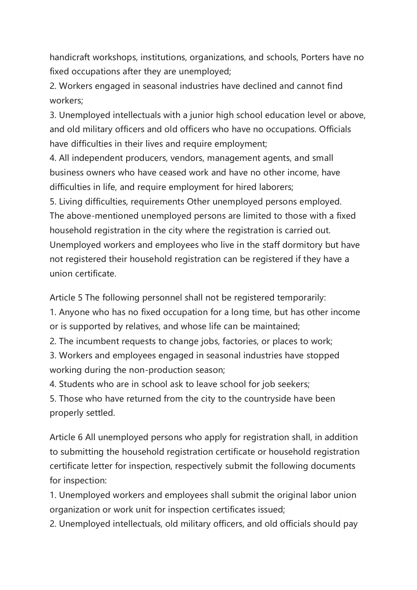handicraft workshops, institutions, organizations, and schools, Porters have no fixed occupations after they are unemployed;

2. Workers engaged in seasonal industries have declined and cannot find workers;

3. Unemployed intellectuals with a junior high school education level or above, and old military officers and old officers who have no occupations. Officials have difficulties in their lives and require employment;

4. All independent producers, vendors, management agents, and small business owners who have ceased work and have no other income, have difficulties in life, and require employment for hired laborers;

5. Living difficulties, requirements Other unemployed persons employed. The above-mentioned unemployed persons are limited to those with a fixed household registration in the city where the registration is carried out. Unemployed workers and employees who live in the staff dormitory but have not registered their household registration can be registered if they have a union certificate.

Article 5 The following personnel shall not be registered temporarily:

1. Anyone who has no fixed occupation for a long time, but has other income or is supported by relatives, and whose life can be maintained;

2. The incumbent requests to change jobs, factories, or places to work;

3. Workers and employees engaged in seasonal industries have stopped working during the non-production season;

4. Students who are in school ask to leave school for job seekers;

5. Those who have returned from the city to the countryside have been properly settled.

Article 6 All unemployed persons who apply for registration shall, in addition to submitting the household registration certificate or household registration certificate letter for inspection, respectively submit the following documents for inspection:

1. Unemployed workers and employees shall submit the original labor union organization or work unit for inspection certificates issued;

2. Unemployed intellectuals, old military officers, and old officials should pay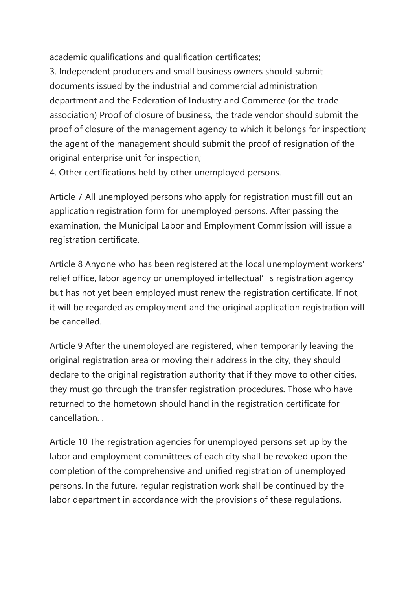academic qualifications and qualification certificates;

3. Independent producers and small business owners should submit documents issued by the industrial and commercial administration department and the Federation of Industry and Commerce (or the trade association) Proof of closure of business, the trade vendor should submit the proof of closure of the management agency to which it belongs for inspection; the agent of the management should submit the proof of resignation of the original enterprise unit for inspection;

4. Other certifications held by other unemployed persons.

Article 7 All unemployed persons who apply for registration must fill out an application registration form for unemployed persons. After passing the examination, the Municipal Labor and Employment Commission will issue a registration certificate.

Article 8 Anyone who has been registered at the local unemployment workers' relief office, labor agency or unemployed intellectual's registration agency but has not yet been employed must renew the registration certificate. If not, it will be regarded as employment and the original application registration will be cancelled.

Article 9 After the unemployed are registered, when temporarily leaving the original registration area or moving their address in the city, they should declare to the original registration authority that if they move to other cities, they must go through the transfer registration procedures. Those who have returned to the hometown should hand in the registration certificate for cancellation. .

Article 10 The registration agencies for unemployed persons set up by the labor and employment committees of each city shall be revoked upon the completion of the comprehensive and unified registration of unemployed persons. In the future, regular registration work shall be continued by the labor department in accordance with the provisions of these regulations.